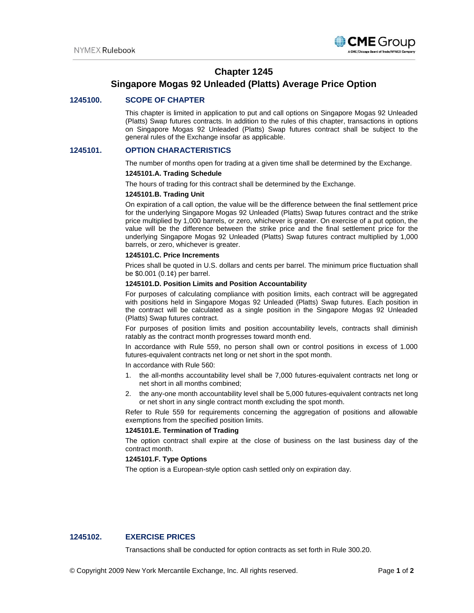

# **Chapter 1245**

# **Singapore Mogas 92 Unleaded (Platts) Average Price Option**

# **1245100. SCOPE OF CHAPTER**

This chapter is limited in application to put and call options on Singapore Mogas 92 Unleaded (Platts) Swap futures contracts. In addition to the rules of this chapter, transactions in options on Singapore Mogas 92 Unleaded (Platts) Swap futures contract shall be subject to the general rules of the Exchange insofar as applicable.

# **1245101. OPTION CHARACTERISTICS**

The number of months open for trading at a given time shall be determined by the Exchange.

### **1245101.A. Trading Schedule**

The hours of trading for this contract shall be determined by the Exchange.

## **1245101.B. Trading Unit**

On expiration of a call option, the value will be the difference between the final settlement price for the underlying Singapore Mogas 92 Unleaded (Platts) Swap futures contract and the strike price multiplied by 1,000 barrels, or zero, whichever is greater. On exercise of a put option, the value will be the difference between the strike price and the final settlement price for the underlying Singapore Mogas 92 Unleaded (Platts) Swap futures contract multiplied by 1,000 barrels, or zero, whichever is greater.

# **1245101.C. Price Increments**

Prices shall be quoted in U.S. dollars and cents per barrel. The minimum price fluctuation shall be \$0.001 (0.1¢) per barrel.

#### **1245101.D. Position Limits and Position Accountability**

For purposes of calculating compliance with position limits, each contract will be aggregated with positions held in Singapore Mogas 92 Unleaded (Platts) Swap futures. Each position in the contract will be calculated as a single position in the Singapore Mogas 92 Unleaded (Platts) Swap futures contract.

For purposes of position limits and position accountability levels, contracts shall diminish ratably as the contract month progresses toward month end.

In accordance with Rule 559, no person shall own or control positions in excess of 1.000 futures-equivalent contracts net long or net short in the spot month.

In accordance with Rule 560:

- 1. the all-months accountability level shall be 7,000 futures-equivalent contracts net long or net short in all months combined;
- 2. the any-one month accountability level shall be 5,000 futures-equivalent contracts net long or net short in any single contract month excluding the spot month.

Refer to Rule 559 for requirements concerning the aggregation of positions and allowable exemptions from the specified position limits.

#### **1245101.E. Termination of Trading**

The option contract shall expire at the close of business on the last business day of the contract month.

# **1245101.F. Type Options**

The option is a European-style option cash settled only on expiration day.

# **1245102. EXERCISE PRICES**

Transactions shall be conducted for option contracts as set forth in Rule 300.20.